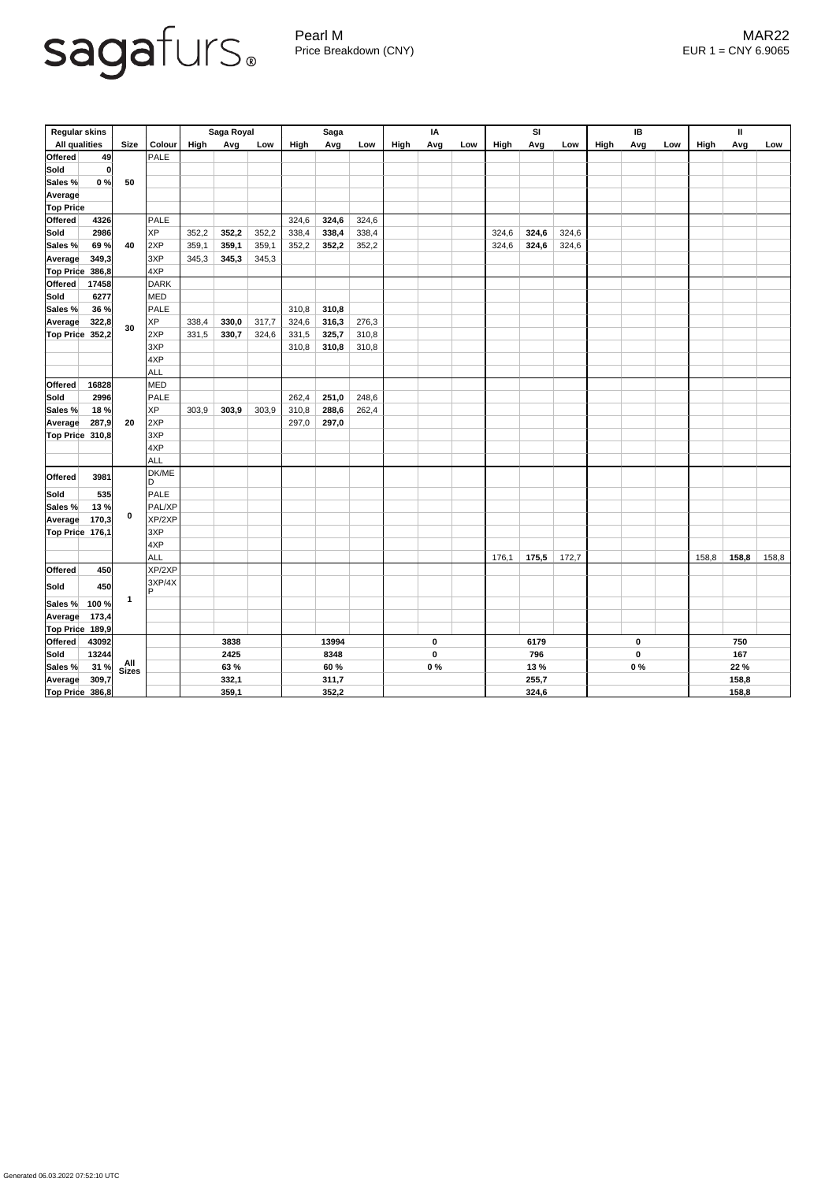## sagafurs.

Pearl M MAR22 Price Breakdown (CNY) EUR 1 = CNY 6.9065

| <b>Regular skins</b>      |              |               | Saga Royal  |       |       | <b>Saga</b> |       |                  | IA          |      |     | <b>SI</b> |                  |                  | IB   |     | $\mathbf{I}$ |       |       |       |
|---------------------------|--------------|---------------|-------------|-------|-------|-------------|-------|------------------|-------------|------|-----|-----------|------------------|------------------|------|-----|--------------|-------|-------|-------|
| <b>All qualities</b>      | <b>Size</b>  | <b>Colour</b> | <b>High</b> | Avg   | Low   | High        | Avg   | Low              | High        | Avg  | Low | High      | Avg              | Low              | High | Avg | Low          | High  | Avg   | Low   |
| 49<br>Offered             |              | PALE          |             |       |       |             |       |                  |             |      |     |           |                  |                  |      |     |              |       |       |       |
| Sold<br> 0                |              |               |             |       |       |             |       |                  |             |      |     |           |                  |                  |      |     |              |       |       |       |
| 0%<br>Sales %             | 50           |               |             |       |       |             |       |                  |             |      |     |           |                  |                  |      |     |              |       |       |       |
| Average                   |              |               |             |       |       |             |       |                  |             |      |     |           |                  |                  |      |     |              |       |       |       |
| <b>Top Price</b>          |              |               |             |       |       |             |       |                  |             |      |     |           |                  |                  |      |     |              |       |       |       |
| 4326<br><b>Offered</b>    | 40           | PALE          |             |       |       | 324,6       | 324,6 | 324,6            |             |      |     |           |                  |                  |      |     |              |       |       |       |
| 2986<br> Sold             |              | <b>XP</b>     | 352,2       | 352,2 | 352,2 | 338,4       | 338,4 | 338,4            |             |      |     | 324,6     | 324,6            | 324,6            |      |     |              |       |       |       |
| 69%<br>Sales %            |              | 2XP           | 359,1       | 359,1 | 359,1 | 352,2       | 352,2 | 352,2            |             |      |     | 324,6     | 324,6            | 324,6            |      |     |              |       |       |       |
| 349,3<br><b>Average</b>   |              | 3XP           | 345,3       | 345,3 | 345,3 |             |       |                  |             |      |     |           |                  |                  |      |     |              |       |       |       |
| $ Top$ Price 386,8        |              | 4XP           |             |       |       |             |       |                  |             |      |     |           |                  |                  |      |     |              |       |       |       |
| 17458<br><b>Offered</b>   |              | DARK          |             |       |       |             |       |                  |             |      |     |           |                  |                  |      |     |              |       |       |       |
| Sold<br>6277              |              | <b>MED</b>    |             |       |       |             |       |                  |             |      |     |           |                  |                  |      |     |              |       |       |       |
| Sales %<br>36 %           |              | PALE          |             |       |       | 310,8       | 310,8 |                  |             |      |     |           |                  |                  |      |     |              |       |       |       |
| 322,8<br><b>Average</b>   |              | <b>XP</b>     | 338,4       | 330,0 | 317,7 | 324,6       | 316,3 | 276,3            |             |      |     |           |                  |                  |      |     |              |       |       |       |
| <b>Top Price</b><br>352,2 | 30           | 2XP           | 331,5       | 330,7 | 324,6 | 331,5       | 325,7 | 310,8            |             |      |     |           |                  |                  |      |     |              |       |       |       |
|                           |              | 3XP           |             |       |       | 310,8       | 310,8 | 310,8            |             |      |     |           |                  |                  |      |     |              |       |       |       |
|                           |              | 4XP           |             |       |       |             |       |                  |             |      |     |           |                  |                  |      |     |              |       |       |       |
|                           |              | <b>ALL</b>    |             |       |       |             |       |                  |             |      |     |           |                  |                  |      |     |              |       |       |       |
| <b>Offered</b><br>16828   |              | <b>MED</b>    |             |       |       |             |       |                  |             |      |     |           |                  |                  |      |     |              |       |       |       |
| Sold<br>2996              |              | PALE          |             |       |       | 262,4       | 251,0 | 248,6            |             |      |     |           |                  |                  |      |     |              |       |       |       |
| 18%<br>Sales %            |              | <b>XP</b>     | 303,9       | 303,9 | 303,9 | 310,8       | 288,6 | 262,4            |             |      |     |           |                  |                  |      |     |              |       |       |       |
| 287,9<br><b>Average</b>   | 20           | 2XP           |             |       |       | 297,0       | 297,0 |                  |             |      |     |           |                  |                  |      |     |              |       |       |       |
| Top Price 310,8           |              | 3XP           |             |       |       |             |       |                  |             |      |     |           |                  |                  |      |     |              |       |       |       |
|                           |              | 4XP           |             |       |       |             |       |                  |             |      |     |           |                  |                  |      |     |              |       |       |       |
|                           |              | ALL           |             |       |       |             |       |                  |             |      |     |           |                  |                  |      |     |              |       |       |       |
| <b>Offered</b><br>3981    | $\bf{0}$     | DK/ME         |             |       |       |             |       |                  |             |      |     |           |                  |                  |      |     |              |       |       |       |
|                           |              | ID.           |             |       |       |             |       |                  |             |      |     |           |                  |                  |      |     |              |       |       |       |
| <b>Sold</b><br>535        |              | PALE          |             |       |       |             |       |                  |             |      |     |           |                  |                  |      |     |              |       |       |       |
| 13%<br>Sales %            |              | <b>PAL/XP</b> |             |       |       |             |       |                  |             |      |     |           |                  |                  |      |     |              |       |       |       |
| 170,3<br><b>Average</b>   |              | XP/2XP        |             |       |       |             |       |                  |             |      |     |           |                  |                  |      |     |              |       |       |       |
| Top Price 176,1           |              | 3XP<br>4XP    |             |       |       |             |       |                  |             |      |     |           |                  |                  |      |     |              |       |       |       |
|                           |              | ALL           |             |       |       |             |       |                  |             |      |     | 176,1     |                  |                  |      |     |              |       |       |       |
| 450<br><b>Offered</b>     |              | XP/2XP        |             |       |       |             |       |                  |             |      |     |           | 175,5            | 172,7            |      |     |              | 158,8 | 158,8 | 158,8 |
|                           |              | 3XP/4X        |             |       |       |             |       |                  |             |      |     |           |                  |                  |      |     |              |       |       |       |
| 450<br> Sold              |              | D             |             |       |       |             |       |                  |             |      |     |           |                  |                  |      |     |              |       |       |       |
| Sales %<br>100 %          | $\mathbf{1}$ |               |             |       |       |             |       |                  |             |      |     |           |                  |                  |      |     |              |       |       |       |
| 173,4<br><b>Average</b>   |              |               |             |       |       |             |       |                  |             |      |     |           |                  |                  |      |     |              |       |       |       |
| Top Price 189,9           |              |               |             |       |       |             |       |                  |             |      |     |           |                  |                  |      |     |              |       |       |       |
| <b>Offered</b><br>43092   |              |               | 3838        |       |       | 13994       |       | $\boldsymbol{0}$ |             | 6179 |     |           | $\boldsymbol{0}$ |                  | 750  |     |              |       |       |       |
| Sold<br>13244             | All<br>Sizes |               | 2425        |       |       | 8348        |       |                  | $\mathbf 0$ |      | 796 |           |                  | $\boldsymbol{0}$ |      | 167 |              |       |       |       |
| 31%<br>Sales %            |              |               | 63 %        |       |       | 60 %        |       | $0\%$            |             | 13 % |     |           | $0\%$            |                  | 22 % |     |              |       |       |       |
| 309,7<br><b>Average</b>   |              |               |             | 332,1 |       |             | 311,7 |                  |             |      |     |           | 255,7            |                  |      |     |              |       | 158,8 |       |
| Top Price 386,8           |              |               | 359,1       |       |       | 352,2       |       |                  |             |      |     | 324,6     |                  |                  |      |     | 158,8        |       |       |       |